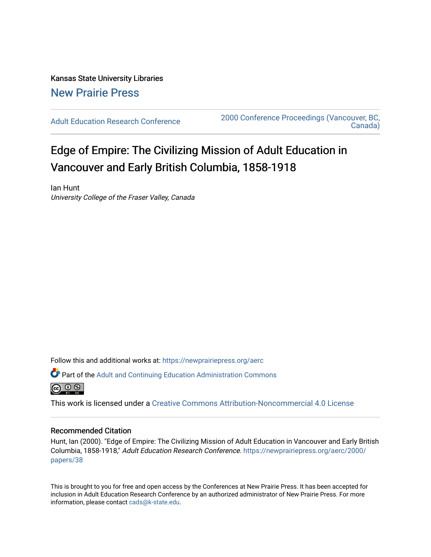## Kansas State University Libraries [New Prairie Press](https://newprairiepress.org/)

[Adult Education Research Conference](https://newprairiepress.org/aerc) [2000 Conference Proceedings \(Vancouver, BC,](https://newprairiepress.org/aerc/2000)  [Canada\)](https://newprairiepress.org/aerc/2000) 

# Edge of Empire: The Civilizing Mission of Adult Education in Vancouver and Early British Columbia, 1858-1918

Ian Hunt University College of the Fraser Valley, Canada

Follow this and additional works at: [https://newprairiepress.org/aerc](https://newprairiepress.org/aerc?utm_source=newprairiepress.org%2Faerc%2F2000%2Fpapers%2F38&utm_medium=PDF&utm_campaign=PDFCoverPages)

Part of the [Adult and Continuing Education Administration Commons](http://network.bepress.com/hgg/discipline/789?utm_source=newprairiepress.org%2Faerc%2F2000%2Fpapers%2F38&utm_medium=PDF&utm_campaign=PDFCoverPages)



This work is licensed under a [Creative Commons Attribution-Noncommercial 4.0 License](https://creativecommons.org/licenses/by-nc/4.0/)

#### Recommended Citation

Hunt, Ian (2000). "Edge of Empire: The Civilizing Mission of Adult Education in Vancouver and Early British Columbia, 1858-1918," Adult Education Research Conference. [https://newprairiepress.org/aerc/2000/](https://newprairiepress.org/aerc/2000/papers/38) [papers/38](https://newprairiepress.org/aerc/2000/papers/38) 

This is brought to you for free and open access by the Conferences at New Prairie Press. It has been accepted for inclusion in Adult Education Research Conference by an authorized administrator of New Prairie Press. For more information, please contact [cads@k-state.edu](mailto:cads@k-state.edu).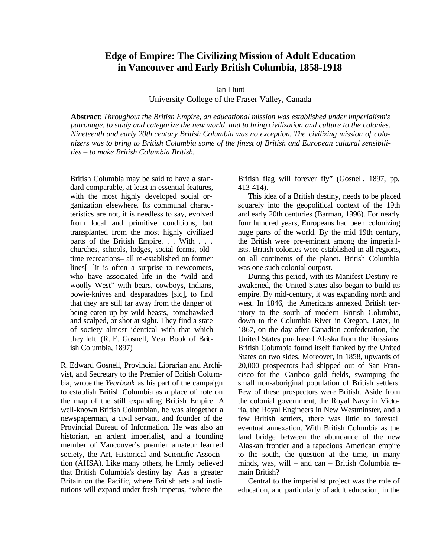### **Edge of Empire: The Civilizing Mission of Adult Education in Vancouver and Early British Columbia, 1858-1918**

Ian Hunt

University College of the Fraser Valley, Canada

**Abstract**: *Throughout the British Empire, an educational mission was established under imperialism's patronage, to study and categorize the new world, and to bring civilization and culture to the colonies. Nineteenth and early 20th century British Columbia was no exception. The civilizing mission of colonizers was to bring to British Columbia some of the finest of British and European cultural sensibilities – to make British Columbia British.*

British Columbia may be said to have a standard comparable, at least in essential features, with the most highly developed social organization elsewhere. Its communal characteristics are not, it is needless to say, evolved from local and primitive conditions, but transplanted from the most highly civilized parts of the British Empire. . . With . . . churches, schools, lodges, social forms, oldtime recreations– all re-established on former lines[--]it is often a surprise to newcomers, who have associated life in the "wild and woolly West" with bears, cowboys, Indians, bowie-knives and desparadoes [sic], to find that they are still far away from the danger of being eaten up by wild beasts, tomahawked and scalped, or shot at sight. They find a state of society almost identical with that which they left. (R. E. Gosnell, Year Book of British Columbia, 1897)

R. Edward Gosnell, Provincial Librarian and Archivist, and Secretary to the Premier of British Columbia*,* wrote the *Yearbook* as his part of the campaign to establish British Columbia as a place of note on the map of the still expanding British Empire. A well-known British Columbian, he was altogether a newspaperman, a civil servant, and founder of the Provincial Bureau of Information. He was also an historian, an ardent imperialist, and a founding member of Vancouver's premier amateur learned society, the Art, Historical and Scientific Association (AHSA). Like many others, he firmly believed that British Columbia's destiny lay Aas a greater Britain on the Pacific, where British arts and institutions will expand under fresh impetus, "where the

British flag will forever fly" (Gosnell, 1897, pp. 413-414).

This idea of a British destiny, needs to be placed squarely into the geopolitical context of the 19th and early 20th centuries (Barman, 1996). For nearly four hundred years, Europeans had been colonizing huge parts of the world. By the mid 19th century, the British were pre-eminent among the imperia lists. British colonies were established in all regions, on all continents of the planet. British Columbia was one such colonial outpost.

During this period, with its Manifest Destiny reawakened, the United States also began to build its empire. By mid-century, it was expanding north and west. In 1846, the Americans annexed British territory to the south of modern British Columbia, down to the Columbia River in Oregon. Later, in 1867, on the day after Canadian confederation, the United States purchased Alaska from the Russians. British Columbia found itself flanked by the United States on two sides. Moreover, in 1858, upwards of 20,000 prospectors had shipped out of San Francisco for the Cariboo gold fields, swamping the small non-aboriginal population of British settlers. Few of these prospectors were British. Aside from the colonial government, the Royal Navy in Victoria, the Royal Engineers in New Westminster, and a few British settlers, there was little to forestall eventual annexation. With British Columbia as the land bridge between the abundance of the new Alaskan frontier and a rapacious American empire to the south, the question at the time, in many minds, was, will – and can – British Columbia remain British?

Central to the imperialist project was the role of education, and particularly of adult education, in the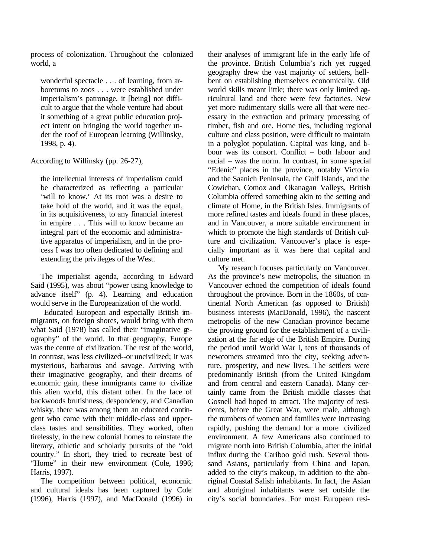process of colonization. Throughout the colonized world, a

wonderful spectacle . . . of learning, from arboretums to zoos . . . were established under imperialism's patronage, it [being] not difficult to argue that the whole venture had about it something of a great public education project intent on bringing the world together under the roof of European learning (Willinsky, 1998, p. 4).

According to Willinsky (pp. 26-27),

the intellectual interests of imperialism could be characterized as reflecting a particular 'will to know.' At its root was a desire to take hold of the world, and it was the equal, in its acquisitiveness, to any financial interest in empire . . . This will to know became an integral part of the economic and administrative apparatus of imperialism, and in the process I was too often dedicated to defining and extending the privileges of the West.

The imperialist agenda, according to Edward Said (1995), was about "power using knowledge to advance itself" (p. 4). Learning and education would serve in the Europeanization of the world.

 Educated European and especially British immigrants, on foreign shores, would bring with them what Said (1978) has called their "imaginative geography" of the world. In that geography, Europe was the centre of civilization. The rest of the world, in contrast, was less civilized--or uncivilized; it was mysterious, barbarous and savage. Arriving with their imaginative geography, and their dreams of economic gain, these immigrants came to civilize this alien world, this distant other. In the face of backwoods brutishness, despondency, and Canadian whisky, there was among them an educated contingent who came with their middle-class and upperclass tastes and sensibilities. They worked, often tirelessly, in the new colonial homes to reinstate the literary, athletic and scholarly pursuits of the "old country." In short, they tried to recreate best of "Home" in their new environment (Cole, 1996; Harris, 1997).

The competition between political, economic and cultural ideals has been captured by Cole (1996), Harris (1997), and MacDonald (1996) in their analyses of immigrant life in the early life of the province. British Columbia's rich yet rugged geography drew the vast majority of settlers, hellbent on establishing themselves economically. Old world skills meant little; there was only limited agricultural land and there were few factories. New yet more rudimentary skills were all that were necessary in the extraction and primary processing of timber, fish and ore. Home ties, including regional culture and class position, were difficult to maintain in a polyglot population. Capital was king, and  $h$ bour was its consort. Conflict – both labour and racial – was the norm. In contrast, in some special "Edenic" places in the province, notably Victoria and the Saanich Peninsula, the Gulf Islands, and the Cowichan, Comox and Okanagan Valleys, British Columbia offered something akin to the setting and climate of Home, in the British Isles. Immigrants of more refined tastes and ideals found in these places, and in Vancouver, a more suitable environment in which to promote the high standards of British culture and civilization. Vancouver's place is especially important as it was here that capital and culture met.

My research focuses particularly on Vancouver. As the province's new metropolis, the situation in Vancouver echoed the competition of ideals found throughout the province. Born in the 1860s, of continental North American (as opposed to British) business interests (MacDonald, 1996), the nascent metropolis of the new Canadian province became the proving ground for the establishment of a civilization at the far edge of the British Empire. During the period until World War I, tens of thousands of newcomers streamed into the city, seeking adventure, prosperity, and new lives. The settlers were predominantly British (from the United Kingdom and from central and eastern Canada). Many certainly came from the British middle classes that Gosnell had hoped to attract. The majority of residents, before the Great War, were male, although the numbers of women and families were increasing rapidly, pushing the demand for a more civilized environment. A few Americans also continued to migrate north into British Columbia, after the initial influx during the Cariboo gold rush. Several thousand Asians, particularly from China and Japan, added to the city's makeup, in addition to the aboriginal Coastal Salish inhabitants. In fact, the Asian and aboriginal inhabitants were set outside the city's social boundaries. For most European resi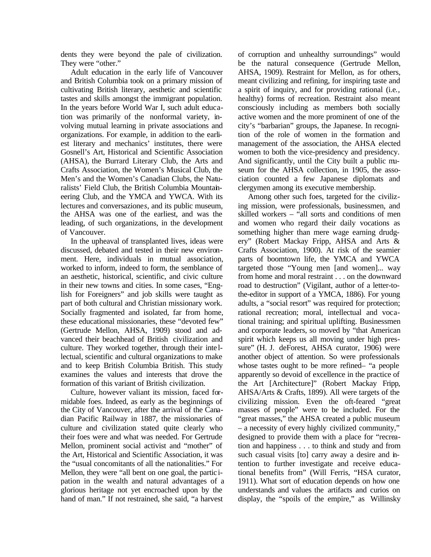dents they were beyond the pale of civilization. They were "other."

Adult education in the early life of Vancouver and British Columbia took on a primary mission of cultivating British literary, aesthetic and scientific tastes and skills amongst the immigrant population. In the years before World War I, such adult education was primarily of the nonformal variety, involving mutual learning in private associations and organizations. For example, in addition to the earliest literary and mechanics' institutes, there were Gosnell's Art, Historical and Scientific Association (AHSA), the Burrard Literary Club, the Arts and Crafts Association, the Women's Musical Club, the Men's and the Women's Canadian Clubs, the Naturalists' Field Club, the British Columbia Mountaineering Club, and the YMCA and YWCA. With its lectures and conversazione*s*, and its public museum, the AHSA was one of the earliest, and was the leading, of such organizations, in the development of Vancouver.

In the upheaval of transplanted lives, ideas were discussed, debated and tested in their new environment. Here, individuals in mutual association, worked to inform, indeed to form, the semblance of an aesthetic, historical, scientific, and civic culture in their new towns and cities. In some cases, "English for Foreigners" and job skills were taught as part of both cultural and Christian missionary work. Socially fragmented and isolated, far from home, these educational missionaries, these "devoted few" (Gertrude Mellon, AHSA, 1909) stood and advanced their beachhead of British civilization and culture. They worked together, through their inte llectual, scientific and cultural organizations to make and to keep British Columbia British. This study examines the values and interests that drove the formation of this variant of British civilization.

Culture, however valiant its mission, faced formidable foes. Indeed, as early as the beginnings of the City of Vancouver, after the arrival of the Canadian Pacific Railway in 1887, the missionaries of culture and civilization stated quite clearly who their foes were and what was needed. For Gertrude Mellon, prominent social activist and "mother" of the Art, Historical and Scientific Association, it was the "usual concomitants of all the nationalities." For Mellon, they were "all bent on one goal, the partic ipation in the wealth and natural advantages of a glorious heritage not yet encroached upon by the hand of man." If not restrained, she said, "a harvest

of corruption and unhealthy surroundings" would be the natural consequence (Gertrude Mellon, AHSA, 1909). Restraint for Mellon, as for others, meant civilizing and refining, for inspiring taste and a spirit of inquiry, and for providing rational (i.e*.,* healthy) forms of recreation. Restraint also meant consciously including as members both socially active women and the more prominent of one of the city's "barbarian" groups, the Japanese. In recognition of the role of women in the formation and management of the association, the AHSA elected women to both the vice-presidency and presidency. And significantly, until the City built a public museum for the AHSA collection, in 1905, the association counted a few Japanese diplomats and clergymen among its executive membership.

Among other such foes, targeted for the civilizing mission, were professionals, businessmen, and skilled workers – "all sorts and conditions of men and women who regard their daily vocations as something higher than mere wage earning drudgery" (Robert Mackay Fripp, AHSA and Arts & Crafts Association, 1900). At risk of the seamier parts of boomtown life, the YMCA and YWCA targeted those "Young men [and women]... way from home and moral restraint . . . on the downward road to destruction" (Vigilant, author of a letter-tothe-editor in support of a YMCA, 1886). For young adults, a "social resort" was required for protection; rational recreation; moral, intellectual and vocational training; and spiritual uplifting. Businessmen and corporate leaders, so moved by "that American spirit which keeps us all moving under high pressure" (H. J. deForest, AHSA curator, 1906) were another object of attention. So were professionals whose tastes ought to be more refined– "a people apparently so devoid of excellence in the practice of the Art [Architecture]" (Robert Mackay Fripp, AHSA/Arts & Crafts, 1899). All were targets of the civilizing mission. Even the oft-feared "great masses of people" were to be included. For the "great masses," the AHSA created a public museum – a necessity of every highly civilized community," designed to provide them with a place for "recreation and happiness . . . to think and study and from such casual visits [to] carry away a desire and intention to further investigate and receive educational benefits from" (Will Ferris, "HSA curator, 1911). What sort of education depends on how one understands and values the artifacts and curios on display, the "spoils of the empire," as Willinsky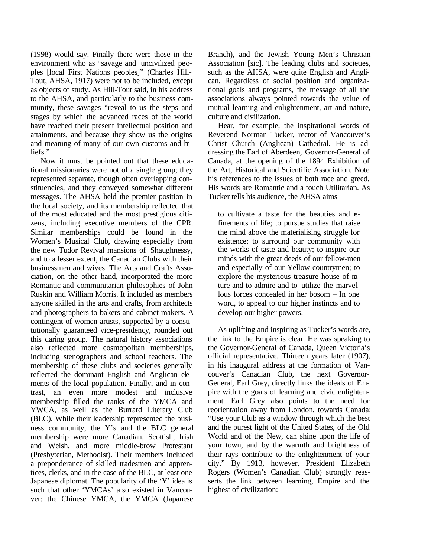(1998) would say. Finally there were those in the environment who as "savage and uncivilized peoples [local First Nations peoples]" (Charles Hill-Tout, AHSA, 1917) were not to be included, except as objects of study. As Hill-Tout said, in his address to the AHSA, and particularly to the business community, these savages "reveal to us the steps and stages by which the advanced races of the world have reached their present intellectual position and attainments, and because they show us the origins and meaning of many of our own customs and beliefs."

Now it must be pointed out that these educational missionaries were not of a single group; they represented separate, though often overlapping constituencies, and they conveyed somewhat different messages. The AHSA held the premier position in the local society, and its membership reflected that of the most educated and the most prestigious citizens, including executive members of the CPR. Similar memberships could be found in the Women's Musical Club, drawing especially from the new Tudor Revival mansions of Shaughnessy, and to a lesser extent, the Canadian Clubs with their businessmen and wives. The Arts and Crafts Association, on the other hand, incorporated the more Romantic and communitarian philosophies of John Ruskin and William Morris. It included as members anyone skilled in the arts and crafts, from architects and photographers to bakers and cabinet makers. A contingent of women artists, supported by a constitutionally guaranteed vice-presidency, rounded out this daring group. The natural history associations also reflected more cosmopolitan memberships, including stenographers and school teachers. The membership of these clubs and societies generally reflected the dominant English and Anglican elements of the local population. Finally, and in contrast, an even more modest and inclusive membership filled the ranks of the YMCA and YWCA, as well as the Burrard Literary Club (BLC). While their leadership represented the business community, the Y's and the BLC general membership were more Canadian, Scottish, Irish and Welsh, and more middle-brow Protestant (Presbyterian, Methodist). Their members included a preponderance of skilled tradesmen and apprentices, clerks, and in the case of the BLC, at least one Japanese diplomat. The popularity of the 'Y' idea is such that other 'YMCAs' also existed in Vancouver: the Chinese YMCA, the YMCA (Japanese

Branch), and the Jewish Young Men's Christian Association [sic]. The leading clubs and societies, such as the AHSA, were quite English and Anglican. Regardless of social position and organizational goals and programs, the message of all the associations always pointed towards the value of mutual learning and enlightenment, art and nature, culture and civilization.

Hear, for example, the inspirational words of Reverend Norman Tucker, rector of Vancouver's Christ Church (Anglican) Cathedral. He is addressing the Earl of Aberdeen, Governor-General of Canada, at the opening of the 1894 Exhibition of the Art, Historical and Scientific Association. Note his references to the issues of both race and greed. His words are Romantic and a touch Utilitarian. As Tucker tells his audience, the AHSA aims

to cultivate a taste for the beauties and refinements of life; to pursue studies that raise the mind above the materialising struggle for existence; to surround our community with the works of taste and beauty; to inspire our minds with the great deeds of our fellow-men and especially of our Yellow-countrymen; to explore the mysterious treasure house of nature and to admire and to utilize the marvellous forces concealed in her bosom – In one word, to appeal to our higher instincts and to develop our higher powers.

As uplifting and inspiring as Tucker's words are, the link to the Empire is clear. He was speaking to the Governor-General of Canada, Queen Victoria's official representative. Thirteen years later (1907), in his inaugural address at the formation of Vancouver's Canadian Club, the next Governor-General, Earl Grey, directly links the ideals of Empire with the goals of learning and civic enlightenment. Earl Grey also points to the need for reorientation away from London, towards Canada: "Use your Club as a window through which the best and the purest light of the United States, of the Old World and of the New, can shine upon the life of your town, and by the warmth and brightness of their rays contribute to the enlightenment of your city." By 1913, however, President Elizabeth Rogers (Women's Canadian Club) strongly reasserts the link between learning, Empire and the highest of civilization: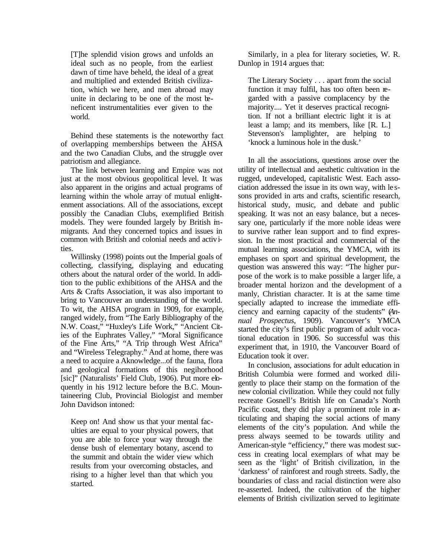[T]he splendid vision grows and unfolds an ideal such as no people, from the earliest dawn of time have beheld, the ideal of a great and multiplied and extended British civilization, which we here, and men abroad may unite in declaring to be one of the most beneficent instrumentalities ever given to the world.

Behind these statements is the noteworthy fact of overlapping memberships between the AHSA and the two Canadian Clubs, and the struggle over patriotism and allegiance.

The link between learning and Empire was not just at the most obvious geopolitical level. It was also apparent in the origins and actual programs of learning within the whole array of mutual enlightenment associations. All of the associations, except possibly the Canadian Clubs, exemplified British models. They were founded largely by British immigrants. And they concerned topics and issues in common with British and colonial needs and activities.

Willinsky (1998) points out the Imperial goals of collecting, classifying, displaying and educating others about the natural order of the world. In addition to the public exhibitions of the AHSA and the Arts & Crafts Association, it was also important to bring to Vancouver an understanding of the world. To wit, the AHSA program in 1909, for example, ranged widely, from "The Early Bibliography of the N.W. Coast," "Huxley's Life Work," "Ancient Cities of the Euphrates Valley," "Moral Significance of the Fine Arts," "A Trip through West Africa" and "Wireless Telegraphy." And at home, there was a need to acquire a Aknowledge...of the fauna, flora and geological formations of this negihorhood [sic]" (Naturalists' Field Club, 1906). Put more eloquently in his 1912 lecture before the B.C. Mountaineering Club, Provincial Biologist and member John Davidson intoned:

Keep on! And show us that your mental faculties are equal to your physical powers, that you are able to force your way through the dense bush of elementary botany, ascend to the summit and obtain the wider view which results from your overcoming obstacles, and rising to a higher level than that which you started.

Similarly, in a plea for literary societies, W. R. Dunlop in 1914 argues that:

The Literary Society . . . apart from the social function it may fulfil, has too often been regarded with a passive complacency by the majority.... Yet it deserves practical recognition. If not a brilliant electric light it is at least a lamp; and its members, like [R. L.] Stevenson's lamplighter, are helping to 'knock a luminous hole in the dusk.'

In all the associations, questions arose over the utility of intellectual and aesthetic cultivation in the rugged, undeveloped, capitalistic West. Each association addressed the issue in its own way, with le ssons provided in arts and crafts, scientific research, historical study, music, and debate and public speaking. It was not an easy balance, but a necessary one, particularly if the more noble ideas were to survive rather lean support and to find expression. In the most practical and commercial of the mutual learning associations, the YMCA, with its emphases on sport and spiritual development, the question was answered this way: "The higher purpose of the work is to make possible a larger life, a broader mental horizon and the development of a manly, Christian character. It is at the same time specially adapted to increase the immediate efficiency and earning capacity of the students" (*Annual Prospectus*, 1909). Vancouver's YMCA started the city's first public program of adult vocational education in 1906. So successful was this experiment that, in 1910, the Vancouver Board of Education took it over.

In conclusion, associations for adult education in British Columbia were formed and worked diligently to place their stamp on the formation of the new colonial civilization. While they could not fully recreate Gosnell's British life on Canada's North Pacific coast, they did play a prominent role in articulating and shaping the social actions of many elements of the city's population. And while the press always seemed to be towards utility and American-style "efficiency," there was modest success in creating local exemplars of what may be seen as the 'light' of British civilization, in the 'darkness' of rainforest and rough streets. Sadly, the boundaries of class and racial distinction were also re-asserted. Indeed, the cultivation of the higher elements of British civilization served to legitimate